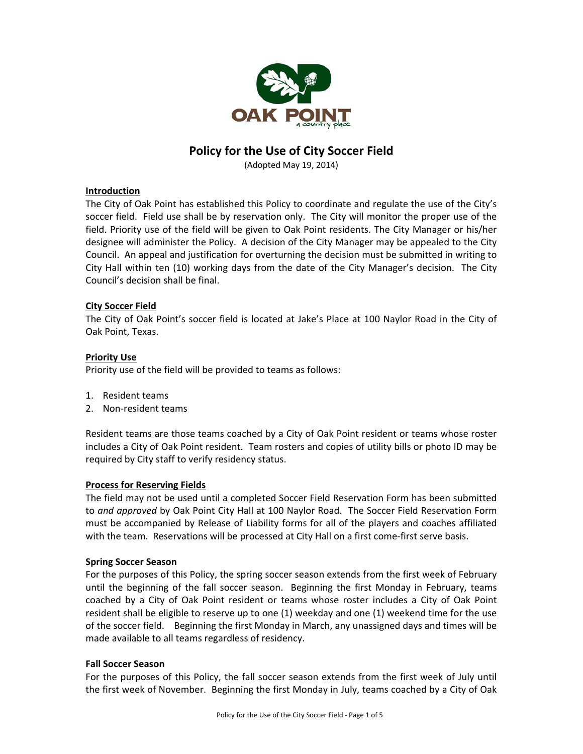

# **Policy for the Use of City Soccer Field**

(Adopted May 19, 2014)

# **Introduction**

The City of Oak Point has established this Policy to coordinate and regulate the use of the City's soccer field. Field use shall be by reservation only. The City will monitor the proper use of the field. Priority use of the field will be given to Oak Point residents. The City Manager or his/her designee will administer the Policy. A decision of the City Manager may be appealed to the City Council. An appeal and justification for overturning the decision must be submitted in writing to City Hall within ten (10) working days from the date of the City Manager's decision. The City Council's decision shall be final.

# **City Soccer Field**

The City of Oak Point's soccer field is located at Jake's Place at 100 Naylor Road in the City of Oak Point, Texas.

# **Priority Use**

Priority use of the field will be provided to teams as follows:

- 1. Resident teams
- 2. Non‐resident teams

Resident teams are those teams coached by a City of Oak Point resident or teams whose roster includes a City of Oak Point resident. Team rosters and copies of utility bills or photo ID may be required by City staff to verify residency status.

# **Process for Reserving Fields**

The field may not be used until a completed Soccer Field Reservation Form has been submitted to *and approved* by Oak Point City Hall at 100 Naylor Road. The Soccer Field Reservation Form must be accompanied by Release of Liability forms for all of the players and coaches affiliated with the team. Reservations will be processed at City Hall on a first come‐first serve basis.

#### **Spring Soccer Season**

For the purposes of this Policy, the spring soccer season extends from the first week of February until the beginning of the fall soccer season. Beginning the first Monday in February, teams coached by a City of Oak Point resident or teams whose roster includes a City of Oak Point resident shall be eligible to reserve up to one (1) weekday and one (1) weekend time for the use of the soccer field. Beginning the first Monday in March, any unassigned days and times will be made available to all teams regardless of residency.

#### **Fall Soccer Season**

For the purposes of this Policy, the fall soccer season extends from the first week of July until the first week of November. Beginning the first Monday in July, teams coached by a City of Oak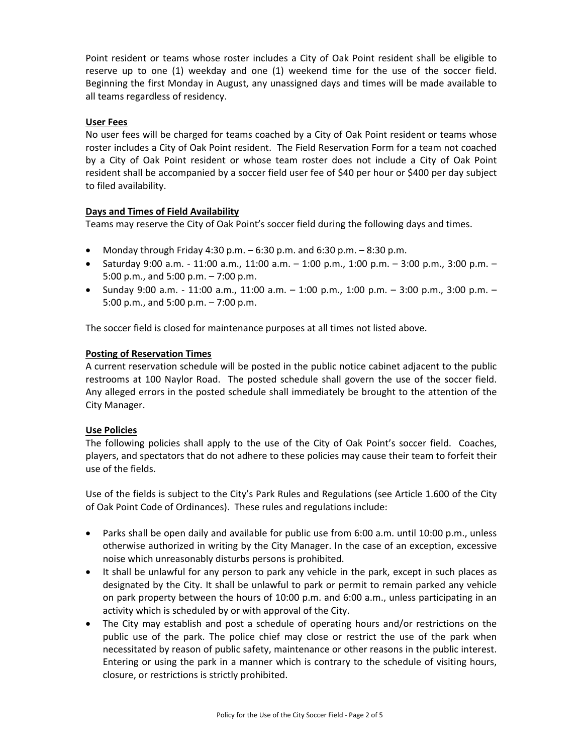Point resident or teams whose roster includes a City of Oak Point resident shall be eligible to reserve up to one (1) weekday and one (1) weekend time for the use of the soccer field. Beginning the first Monday in August, any unassigned days and times will be made available to all teams regardless of residency.

# **User Fees**

No user fees will be charged for teams coached by a City of Oak Point resident or teams whose roster includes a City of Oak Point resident. The Field Reservation Form for a team not coached by a City of Oak Point resident or whose team roster does not include a City of Oak Point resident shall be accompanied by a soccer field user fee of \$40 per hour or \$400 per day subject to filed availability.

# **Days and Times of Field Availability**

Teams may reserve the City of Oak Point's soccer field during the following days and times.

- Monday through Friday 4:30 p.m.  $-6:30$  p.m. and  $6:30$  p.m.  $-8:30$  p.m.
- Saturday 9:00 a.m. 11:00 a.m., 11:00 a.m. 1:00 p.m., 1:00 p.m. 3:00 p.m., 3:00 p.m. 5:00 p.m., and 5:00 p.m. – 7:00 p.m.
- Sunday 9:00 a.m. 11:00 a.m., 11:00 a.m.  $-$  1:00 p.m., 1:00 p.m.  $-$  3:00 p.m., 3:00 p.m.  $-$ 5:00 p.m., and 5:00 p.m. – 7:00 p.m.

The soccer field is closed for maintenance purposes at all times not listed above.

# **Posting of Reservation Times**

A current reservation schedule will be posted in the public notice cabinet adjacent to the public restrooms at 100 Naylor Road. The posted schedule shall govern the use of the soccer field. Any alleged errors in the posted schedule shall immediately be brought to the attention of the City Manager.

#### **Use Policies**

The following policies shall apply to the use of the City of Oak Point's soccer field. Coaches, players, and spectators that do not adhere to these policies may cause their team to forfeit their use of the fields.

Use of the fields is subject to the City's Park Rules and Regulations (see Article 1.600 of the City of Oak Point Code of Ordinances). These rules and regulations include:

- Parks shall be open daily and available for public use from 6:00 a.m. until 10:00 p.m., unless otherwise authorized in writing by the City Manager. In the case of an exception, excessive noise which unreasonably disturbs persons is prohibited.
- It shall be unlawful for any person to park any vehicle in the park, except in such places as designated by the City. It shall be unlawful to park or permit to remain parked any vehicle on park property between the hours of 10:00 p.m. and 6:00 a.m., unless participating in an activity which is scheduled by or with approval of the City.
- The City may establish and post a schedule of operating hours and/or restrictions on the public use of the park. The police chief may close or restrict the use of the park when necessitated by reason of public safety, maintenance or other reasons in the public interest. Entering or using the park in a manner which is contrary to the schedule of visiting hours, closure, or restrictions is strictly prohibited.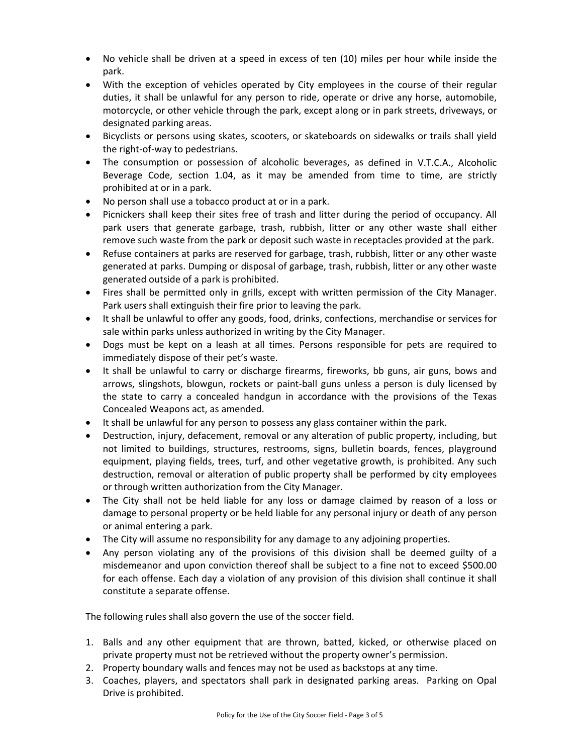- No vehicle shall be driven at a speed in excess of ten (10) miles per hour while inside the park.
- With the exception of vehicles operated by City employees in the course of their regular duties, it shall be unlawful for any person to ride, operate or drive any horse, automobile, motorcycle, or other vehicle through the park, except along or in park streets, driveways, or designated parking areas.
- Bicyclists or persons using skates, scooters, or skateboards on sidewalks or trails shall yield the right‐of‐way to pedestrians.
- The consumption or possession of alcoholic beverages, as defined in V.T.C.A., Alcoholic Beverage Code, section 1.04, as it may be amended from time to time, are strictly prohibited at or in a park.
- No person shall use a tobacco product at or in a park.
- Picnickers shall keep their sites free of trash and litter during the period of occupancy. All park users that generate garbage, trash, rubbish, litter or any other waste shall either remove such waste from the park or deposit such waste in receptacles provided at the park.
- Refuse containers at parks are reserved for garbage, trash, rubbish, litter or any other waste generated at parks. Dumping or disposal of garbage, trash, rubbish, litter or any other waste generated outside of a park is prohibited.
- Fires shall be permitted only in grills, except with written permission of the City Manager. Park users shall extinguish their fire prior to leaving the park.
- It shall be unlawful to offer any goods, food, drinks, confections, merchandise or services for sale within parks unless authorized in writing by the City Manager.
- Dogs must be kept on a leash at all times. Persons responsible for pets are required to immediately dispose of their pet's waste.
- It shall be unlawful to carry or discharge firearms, fireworks, bb guns, air guns, bows and arrows, slingshots, blowgun, rockets or paint‐ball guns unless a person is duly licensed by the state to carry a concealed handgun in accordance with the provisions of the Texas Concealed Weapons act, as amended.
- It shall be unlawful for any person to possess any glass container within the park.
- Destruction, injury, defacement, removal or any alteration of public property, including, but not limited to buildings, structures, restrooms, signs, bulletin boards, fences, playground equipment, playing fields, trees, turf, and other vegetative growth, is prohibited. Any such destruction, removal or alteration of public property shall be performed by city employees or through written authorization from the City Manager.
- The City shall not be held liable for any loss or damage claimed by reason of a loss or damage to personal property or be held liable for any personal injury or death of any person or animal entering a park.
- The City will assume no responsibility for any damage to any adjoining properties.
- Any person violating any of the provisions of this division shall be deemed guilty of a misdemeanor and upon conviction thereof shall be subject to a fine not to exceed \$500.00 for each offense. Each day a violation of any provision of this division shall continue it shall constitute a separate offense.

The following rules shall also govern the use of the soccer field.

- 1. Balls and any other equipment that are thrown, batted, kicked, or otherwise placed on private property must not be retrieved without the property owner's permission.
- 2. Property boundary walls and fences may not be used as backstops at any time.
- 3. Coaches, players, and spectators shall park in designated parking areas. Parking on Opal Drive is prohibited.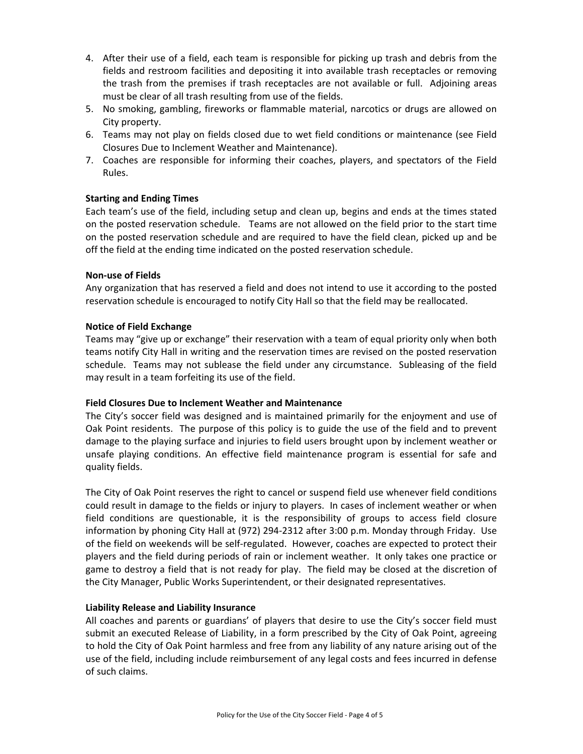- 4. After their use of a field, each team is responsible for picking up trash and debris from the fields and restroom facilities and depositing it into available trash receptacles or removing the trash from the premises if trash receptacles are not available or full. Adjoining areas must be clear of all trash resulting from use of the fields.
- 5. No smoking, gambling, fireworks or flammable material, narcotics or drugs are allowed on City property.
- 6. Teams may not play on fields closed due to wet field conditions or maintenance (see Field Closures Due to Inclement Weather and Maintenance).
- 7. Coaches are responsible for informing their coaches, players, and spectators of the Field Rules.

# **Starting and Ending Times**

Each team's use of the field, including setup and clean up, begins and ends at the times stated on the posted reservation schedule. Teams are not allowed on the field prior to the start time on the posted reservation schedule and are required to have the field clean, picked up and be off the field at the ending time indicated on the posted reservation schedule.

# **Non‐use of Fields**

Any organization that has reserved a field and does not intend to use it according to the posted reservation schedule is encouraged to notify City Hall so that the field may be reallocated.

# **Notice of Field Exchange**

Teams may "give up or exchange" their reservation with a team of equal priority only when both teams notify City Hall in writing and the reservation times are revised on the posted reservation schedule. Teams may not sublease the field under any circumstance. Subleasing of the field may result in a team forfeiting its use of the field.

# **Field Closures Due to Inclement Weather and Maintenance**

The City's soccer field was designed and is maintained primarily for the enjoyment and use of Oak Point residents. The purpose of this policy is to guide the use of the field and to prevent damage to the playing surface and injuries to field users brought upon by inclement weather or unsafe playing conditions. An effective field maintenance program is essential for safe and quality fields.

The City of Oak Point reserves the right to cancel or suspend field use whenever field conditions could result in damage to the fields or injury to players. In cases of inclement weather or when field conditions are questionable, it is the responsibility of groups to access field closure information by phoning City Hall at (972) 294‐2312 after 3:00 p.m. Monday through Friday. Use of the field on weekends will be self‐regulated. However, coaches are expected to protect their players and the field during periods of rain or inclement weather. It only takes one practice or game to destroy a field that is not ready for play. The field may be closed at the discretion of the City Manager, Public Works Superintendent, or their designated representatives.

# **Liability Release and Liability Insurance**

All coaches and parents or guardians' of players that desire to use the City's soccer field must submit an executed Release of Liability, in a form prescribed by the City of Oak Point, agreeing to hold the City of Oak Point harmless and free from any liability of any nature arising out of the use of the field, including include reimbursement of any legal costs and fees incurred in defense of such claims.